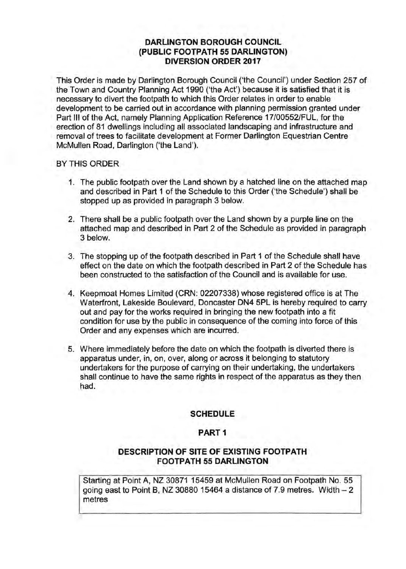# **DARLINGTON BOROUGH COUNCIL (PUBLIC FOOTPATH 55 DARLINGTON) DIVERSION ORDER 2017**

This Order is made by Darlington Borough Council ('the Council') under Section 257 of the Town and Country Planning Act 1990 ('the Act') because it is satisfied that it is necessary to divert the footpath to which this Order relates in order to enable development to be carried out in accordance with planning permission granted under Part Ill of the Act, namely Planning Application Reference 17/00552/FUL, for the erection of 81 dwellings including all associated landscaping and infrastructure and removal of trees to facilitate development at Former Darlington Equestrian Centre McMullen Road, Darlington ('the Land').

#### BY THIS **ORDER**

- 1. The public footpath over the Land shown by a hatched line on the attached map and described in Part 1 of the Schedule to this Order {'the Schedule') shall be stopped up as provided in paragraph 3 below.
- 2. There shall be a public footpath over the Land shown by a purple line on the attached map and described in Part 2 of the Schedule as provided in paragraph 3 below.
- 3. The stopping up of the footpath described in Part 1 of the Schedule shall have effect on the date on which the footpath described in Part 2 of the Schedule has been constructed to the satisfaction of the Council and is available for use.
- 4. Keepmoat Homes Limited (CRN: 02207338) whose registered office is at The Waterfront, Lakeside Boulevard, Doncaster DN4 5PL is hereby required to carry out and pay for the works required in bringing the new footpath into a fit condition for use by the public in consequence of the coming into force of this Order and any expenses which are incurred.
- 5. Where immediately before the date on which the footpath is diverted there is apparatus under, in, on, over, along or across it belonging to statutory undertakers for the purpose of carrying on their undertaking, the undertakers shall continue to have the same rights in respect of the apparatus as they then had.

### **SCHEDULE**

### **PART1**

### **DESCRIPTION OF SITE OF EXISTING FOOTPATH FOOTPATH 55 DARLINGTON**

Starting at Point A, NZ 30871 15459 at McMullen Road on Footpath No. 55 going east to Point B, NZ 30880 15464 a distance of 7.9 metres. Width  $-2$ metres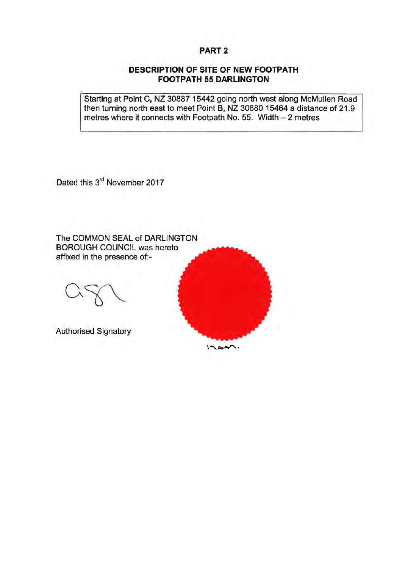# **PART2**

### **DESCRIPTION OF SITE OF NEW FOOTPATH FOOTPATH 55 DARLINGTON**

Starting at Point C, NZ 30887 15442 going north west along McMullen Road then turning north east to meet Point B, NZ 30880 15464 a distance of 21.9 metres where it connects with Footpath No. 55. Width - 2 metres

 $12.001$ 

Dated this 3<sup>rd</sup> November 2017

The COMMON SEAL of DARLINGTON BOROUGH COUNCIL was hereto affixed in the presence of:-

Authorised Signatory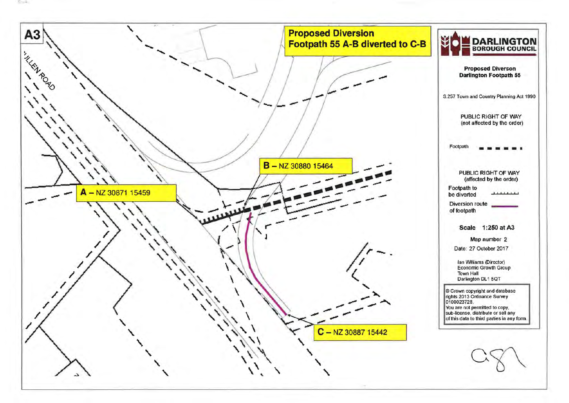